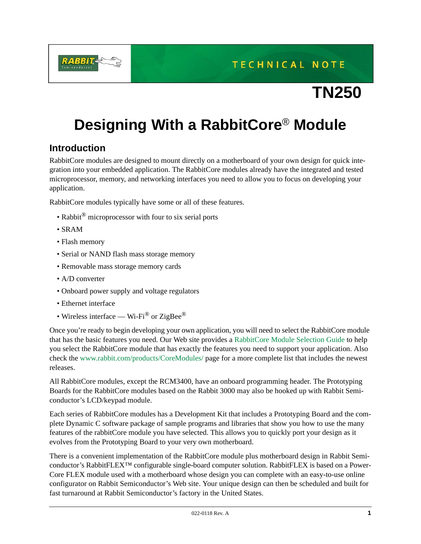**TECHNICAL NOTE** 

# **TN250**

# **Designing With a RabbitCore**® **Module**

# **Introduction**

RabbitCore modules are designed to mount directly on a motherboard of your own design for quick integration into your embedded application. The RabbitCore modules already have the integrated and tested microprocessor, memory, and networking interfaces you need to allow you to focus on developing your application.

RabbitCore modules typically have some or all of these features.

- Rabbit® microprocessor with four to six serial ports
- SRAM
- Flash memory
- Serial or NAND flash mass storage memory
- Removable mass storage memory cards
- A/D converter
- Onboard power supply and voltage regulators
- Ethernet interface
- Wireless interface Wi-Fi<sup>®</sup> or ZigBee<sup>®</sup>

Once you're ready to begin developing your own application, you will need to select the RabbitCore module that has the basic features you need. Our Web site provides a [RabbitCore Module Selection Guide](http://www.rabbit.com/products/US_RCMGuide_022505.pdf) to help you select the RabbitCore module that has exactly the features you need to support your application. Also check the [www.rabbit.com/products/CoreModules/](http://www.rabbit.com/products/CoreModules/) page for a more complete list that includes the newest releases.

All RabbitCore modules, except the RCM3400, have an onboard programming header. The Prototyping Boards for the RabbitCore modules based on the Rabbit 3000 may also be hooked up with Rabbit Semiconductor's LCD/keypad module.

Each series of RabbitCore modules has a Development Kit that includes a Prototyping Board and the complete Dynamic C software package of sample programs and libraries that show you how to use the many features of the rabbitCore module you have selected. This allows you to quickly port your design as it evolves from the Prototyping Board to your very own motherboard.

There is a convenient implementation of the RabbitCore module plus motherboard design in Rabbit Semiconductor's RabbitFLEX™ configurable single-board computer solution. RabbitFLEX is based on a Power-Core FLEX module used with a motherboard whose design you can complete with an easy-to-use online configurator on Rabbit Semiconductor's Web site. Your unique design can then be scheduled and built for fast turnaround at Rabbit Semiconductor's factory in the United States.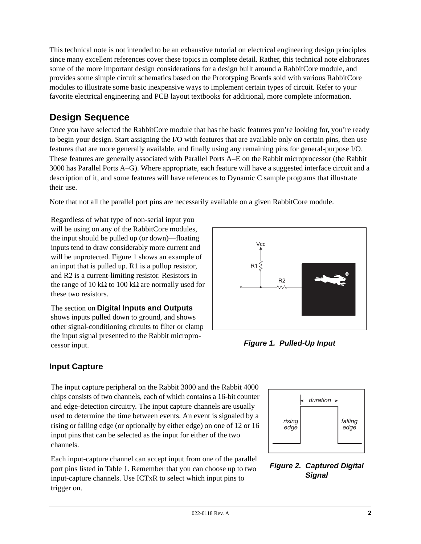This technical note is not intended to be an exhaustive tutorial on electrical engineering design principles since many excellent references cover these topics in complete detail. Rather, this technical note elaborates some of the more important design considerations for a design built around a RabbitCore module, and provides some simple circuit schematics based on the Prototyping Boards sold with various RabbitCore modules to illustrate some basic inexpensive ways to implement certain types of circuit. Refer to your favorite electrical engineering and PCB layout textbooks for additional, more complete information.

# **Design Sequence**

Once you have selected the RabbitCore module that has the basic features you're looking for, you're ready to begin your design. Start assigning the I/O with features that are available only on certain pins, then use features that are more generally available, and finally using any remaining pins for general-purpose I/O. These features are generally associated with Parallel Ports A–E on the Rabbit microprocessor (the Rabbit 3000 has Parallel Ports A–G). Where appropriate, each feature will have a suggested interface circuit and a description of it, and some features will have references to Dynamic C sample programs that illustrate their use.

Note that not all the parallel port pins are necessarily available on a given RabbitCore module.

Regardless of what type of non-serial input you will be using on any of the RabbitCore modules, the input should be pulled up (or down)—floating inputs tend to draw considerably more current and will be unprotected. [Figure 1](#page-1-0) shows an example of an input that is pulled up. R1 is a pullup resistor, and R2 is a current-limiting resistor. Resistors in the range of 10 kΩ to 100 kΩ are normally used for these two resistors.

The section on **[Digital Inputs and Outputs](#page-8-0)** shows inputs pulled down to ground, and shows other signal-conditioning circuits to filter or clamp the input signal presented to the Rabbit microprocessor input. *Figure 1. Pulled-Up Input*



<span id="page-1-0"></span>

# **Input Capture**

The input capture peripheral on the Rabbit 3000 and the Rabbit 4000 chips consists of two channels, each of which contains a 16-bit counter and edge-detection circuitry. The input capture channels are usually used to determine the time between events. An event is signaled by a rising or falling edge (or optionally by either edge) on one of 12 or 16 input pins that can be selected as the input for either of the two channels.

Each input-capture channel can accept input from one of the parallel port pins listed in [Table 1.](#page-2-0) Remember that you can choose up to two input-capture channels. Use ICTxR to select which input pins to trigger on.



### *Figure 2. Captured Digital Signal*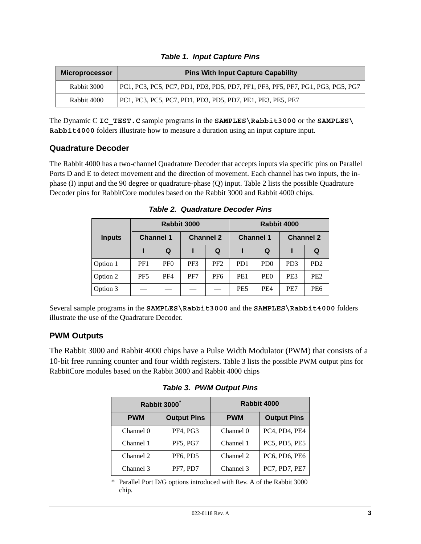<span id="page-2-0"></span>

| <b>Microprocessor</b> | <b>Pins With Input Capture Capability</b>                                      |
|-----------------------|--------------------------------------------------------------------------------|
| Rabbit 3000           | PC1, PC3, PC5, PC7, PD1, PD3, PD5, PD7, PF1, PF3, PF5, PF7, PG1, PG3, PG5, PG7 |
| Rabbit 4000           | PC1, PC3, PC5, PC7, PD1, PD3, PD5, PD7, PE1, PE3, PE5, PE7                     |

|  | <b>Table 1. Input Capture Pins</b> |  |
|--|------------------------------------|--|
|  |                                    |  |

The Dynamic C **IC\_TEST.C** sample programs in the **SAMPLES\Rabbit3000** or the **SAMPLES\ Rabbit4000** folders illustrate how to measure a duration using an input capture input.

### **Quadrature Decoder**

The Rabbit 4000 has a two-channel Quadrature Decoder that accepts inputs via specific pins on Parallel Ports D and E to detect movement and the direction of movement. Each channel has two inputs, the inphase (I) input and the 90 degree or quadrature-phase (Q) input. [Table 2](#page-2-2) lists the possible Quadrature Decoder pins for RabbitCore modules based on the Rabbit 3000 and Rabbit 4000 chips.

<span id="page-2-2"></span>

|               | Rabbit 3000      |                 |                  |                 | Rabbit 4000      |                 |                  |                             |
|---------------|------------------|-----------------|------------------|-----------------|------------------|-----------------|------------------|-----------------------------|
| <b>Inputs</b> | <b>Channel 1</b> |                 | <b>Channel 2</b> |                 | <b>Channel 1</b> |                 | <b>Channel 2</b> |                             |
|               |                  | Q               |                  | Q               |                  | Q               |                  |                             |
| Option 1      | PF1              | PF <sub>0</sub> | PF3              | PF <sub>2</sub> | P <sub>D</sub> 1 | PD <sub>0</sub> | P <sub>D</sub> 3 | P <sub>D</sub> <sub>2</sub> |
| Option 2      | PF <sub>5</sub>  | PF4             | PF7              | PF <sub>6</sub> | PE <sub>1</sub>  | PE <sub>0</sub> | PE3              | PE <sub>2</sub>             |
| Option 3      |                  |                 |                  |                 | PE <sub>5</sub>  | PE4             | PE7              | PE6                         |

*Table 2. Quadrature Decoder Pins*

Several sample programs in the **SAMPLES\Rabbit3000** and the **SAMPLES\Rabbit4000** folders illustrate the use of the Quadrature Decoder.

### **PWM Outputs**

<span id="page-2-1"></span>The Rabbit 3000 and Rabbit 4000 chips have a Pulse Width Modulator (PWM) that consists of a 10-bit free running counter and four width registers. [Table 3](#page-2-1) lists the possible PWM output pins for RabbitCore modules based on the Rabbit 3000 and Rabbit 4000 chips

*Table 3. PWM Output Pins*

|                                  | Rabbit 3000 <sup>*</sup> | Rabbit 4000 |                    |  |
|----------------------------------|--------------------------|-------------|--------------------|--|
| <b>Output Pins</b><br><b>PWM</b> |                          | <b>PWM</b>  | <b>Output Pins</b> |  |
| Channel 0                        | PF4, PG3                 | Channel 0   | PC4, PD4, PE4      |  |
| Channel 1                        | <b>PF5, PG7</b>          | Channel 1   | PC5, PD5, PE5      |  |
| Channel 2                        | PF6, PD5                 | Channel 2   | PC6, PD6, PE6      |  |
| Channel 3                        | PF7, PD7                 | Channel 3   | PC7, PD7, PE7      |  |

\* Parallel Port D/G options introduced with Rev. A of the Rabbit 3000 chip.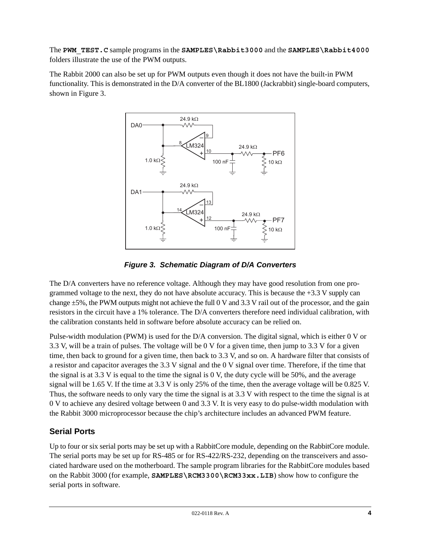The **PWM\_TEST.C** sample programs in the **SAMPLES\Rabbit3000** and the **SAMPLES\Rabbit4000** folders illustrate the use of the PWM outputs.

The Rabbit 2000 can also be set up for PWM outputs even though it does not have the built-in PWM functionality. This is demonstrated in the D/A converter of the BL1800 (Jackrabbit) single-board computers, shown in [Figure 3](#page-3-0).



*Figure 3. Schematic Diagram of D/A Converters*

<span id="page-3-0"></span>The D/A converters have no reference voltage. Although they may have good resolution from one programmed voltage to the next, they do not have absolute accuracy. This is because the  $+3.3$  V supply can change  $\pm$ 5%, the PWM outputs might not achieve the full 0 V and 3.3 V rail out of the processor, and the gain resistors in the circuit have a 1% tolerance. The D/A converters therefore need individual calibration, with the calibration constants held in software before absolute accuracy can be relied on.

Pulse-width modulation (PWM) is used for the D/A conversion. The digital signal, which is either 0 V or 3.3 V, will be a train of pulses. The voltage will be 0 V for a given time, then jump to 3.3 V for a given time, then back to ground for a given time, then back to 3.3 V, and so on. A hardware filter that consists of a resistor and capacitor averages the 3.3 V signal and the 0 V signal over time. Therefore, if the time that the signal is at 3.3 V is equal to the time the signal is 0 V, the duty cycle will be 50%, and the average signal will be 1.65 V. If the time at 3.3 V is only 25% of the time, then the average voltage will be 0.825 V. Thus, the software needs to only vary the time the signal is at 3.3 V with respect to the time the signal is at 0 V to achieve any desired voltage between 0 and 3.3 V. It is very easy to do pulse-width modulation with the Rabbit 3000 microprocessor because the chip's architecture includes an advanced PWM feature.

# **Serial Ports**

Up to four or six serial ports may be set up with a RabbitCore module, depending on the RabbitCore module. The serial ports may be set up for RS-485 or for RS-422/RS-232, depending on the transceivers and associated hardware used on the motherboard. The sample program libraries for the RabbitCore modules based on the Rabbit 3000 (for example, **SAMPLES\RCM3300\RCM33xx.LIB**) show how to configure the serial ports in software.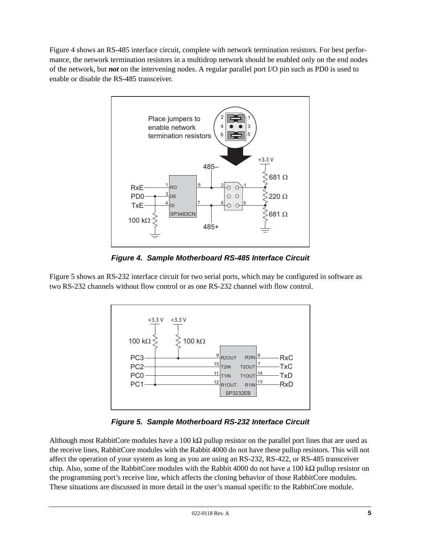[Figure 4](#page-4-0) shows an RS-485 interface circuit, complete with network termination resistors. For best performance, the network termination resistors in a multidrop network should be enabled only on the end nodes of the network, but *not* on the intervening nodes. A regular parallel port I/O pin such as PD0 is used to enable or disable the RS-485 transceiver.



*Figure 4. Sample Motherboard RS-485 Interface Circuit*

<span id="page-4-0"></span>[Figure 5](#page-4-1) shows an RS-232 interface circuit for two serial ports, which may be configured in software as two RS-232 channels without flow control or as one RS-232 channel with flow control.



*Figure 5. Sample Motherboard RS-232 Interface Circuit*

<span id="page-4-1"></span>Although most RabbitCore modules have a 100 k $\Omega$  pullup resistor on the parallel port lines that are used as the receive lines, RabbitCore modules with the Rabbit 4000 do not have these pullup resistors. This will not affect the operation of your system as long as you are using an RS-232, RS-422, or RS-485 transceiver chip. Also, some of the RabbitCore modules with the Rabbit 4000 do not have a 100 kΩ pullup resistor on the programming port's receive line, which affects the cloning behavior of those RabbitCore modules. These situations are discussed in more detail in the user's manual specific to the RabbitCore module.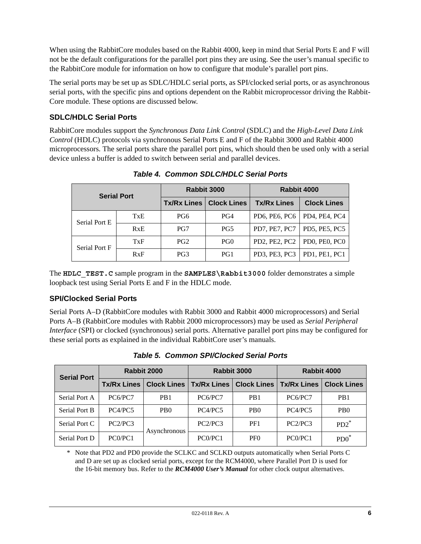When using the RabbitCore modules based on the Rabbit 4000, keep in mind that Serial Ports E and F will not be the default configurations for the parallel port pins they are using. See the user's manual specific to the RabbitCore module for information on how to configure that module's parallel port pins.

The serial ports may be set up as SDLC/HDLC serial ports, as SPI/clocked serial ports, or as asynchronous serial ports, with the specific pins and options dependent on the Rabbit microprocessor driving the Rabbit-Core module. These options are discussed below.

### **SDLC/HDLC Serial Ports**

RabbitCore modules support the *Synchronous Data Link Control* (SDLC) and the *High-Level Data Link Control* (HDLC) protocols via synchronous Serial Ports E and F of the Rabbit 3000 and Rabbit 4000 microprocessors. The serial ports share the parallel port pins, which should then be used only with a serial device unless a buffer is added to switch between serial and parallel devices.

| <b>Serial Port</b> |            |                    | Rabbit 3000        | Rabbit 4000                              |                      |  |
|--------------------|------------|--------------------|--------------------|------------------------------------------|----------------------|--|
|                    |            | <b>Tx/Rx Lines</b> | <b>Clock Lines</b> | <b>Tx/Rx Lines</b><br><b>Clock Lines</b> |                      |  |
| Serial Port E      | <b>TxE</b> | PG6                | PG4                | PD6, PE6, PC6                            | PD4, PE4, PC4        |  |
|                    | RxE        | PG7                | PG5                | <b>PD7, PE7, PC7</b>                     | <b>PD5. PE5. PC5</b> |  |
| Serial Port F      | TxF        | PG <sub>2</sub>    | PG <sub>0</sub>    | PD2, PE2, PC2                            | PD0, PE0, PC0        |  |
|                    | RxF        | PG3                | PG1                | PD3, PE3, PC3                            | PD1. PE1. PC1        |  |

*Table 4. Common SDLC/HDLC Serial Ports*

The **HDLC\_TEST.C** sample program in the **SAMPLES\Rabbit3000** folder demonstrates a simple loopback test using Serial Ports E and F in the HDLC mode.

### **SPI/Clocked Serial Ports**

Serial Ports A–D (RabbitCore modules with Rabbit 3000 and Rabbit 4000 microprocessors) and Serial Ports A–B (RabbitCore modules with Rabbit 2000 microprocessors) may be used as *Serial Peripheral Interface* (SPI) or clocked (synchronous) serial ports. Alternative parallel port pins may be configured for these serial ports as explained in the individual RabbitCore user's manuals.

| <b>Serial Port</b>   | Rabbit 2000                      |                             |                    | Rabbit 3000                 | Rabbit 4000                      |                             |
|----------------------|----------------------------------|-----------------------------|--------------------|-----------------------------|----------------------------------|-----------------------------|
|                      | <b>Tx/Rx Lines</b>               | <b>Clock Lines</b>          | <b>Tx/Rx Lines</b> | <b>Clock Lines</b>          | <b>Tx/Rx Lines</b>               | <b>Clock Lines</b>          |
| Serial Port A        | PC6/PC7                          | P <sub>B</sub> 1            | PC6/PC7            | P <sub>B</sub> 1            | PC6/PC7                          | PB <sub>1</sub>             |
| <b>Serial Port B</b> | PC4/PC5                          | P <sub>B</sub> <sup>0</sup> | PC4/PC5            | P <sub>B</sub> <sup>0</sup> | PC4/PC5                          | P <sub>B</sub> <sup>0</sup> |
| Serial Port C        | PC2/PC3                          | Asynchronous                | PC2/PC3            | PF1                         | PC2/PC3                          | $P D2^*$                    |
| Serial Port D        | PC <sub>0</sub> /PC <sub>1</sub> |                             | PC0/PC1            | PF <sub>0</sub>             | PC <sub>0</sub> /PC <sub>1</sub> | $PDO^*$                     |

<span id="page-5-0"></span>*Table 5. Common SPI/Clocked Serial Ports*

\* Note that PD2 and PD0 provide the SCLKC and SCLKD outputs automatically when Serial Ports C and D are set up as clocked serial ports, except for the RCM4000, where Parallel Port D is used for the 16-bit memory bus. Refer to the *RCM4000 User's Manual* for other clock output alternatives.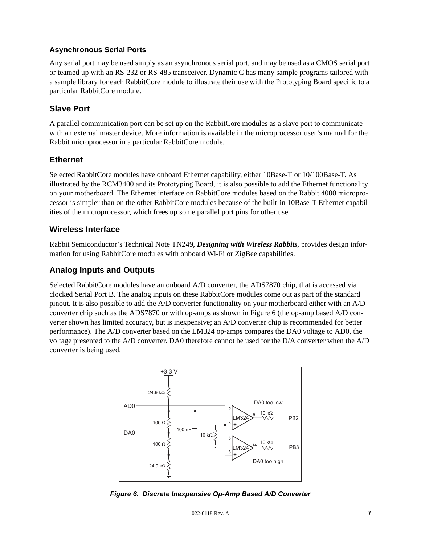#### **Asynchronous Serial Ports**

Any serial port may be used simply as an asynchronous serial port, and may be used as a CMOS serial port or teamed up with an RS-232 or RS-485 transceiver. Dynamic C has many sample programs tailored with a sample library for each RabbitCore module to illustrate their use with the Prototyping Board specific to a particular RabbitCore module.

### **Slave Port**

A parallel communication port can be set up on the RabbitCore modules as a slave port to communicate with an external master device. More information is available in the microprocessor user's manual for the Rabbit microprocessor in a particular RabbitCore module.

#### **Ethernet**

Selected RabbitCore modules have onboard Ethernet capability, either 10Base-T or 10/100Base-T. As illustrated by the RCM3400 and its Prototyping Board, it is also possible to add the Ethernet functionality on your motherboard. The Ethernet interface on RabbitCore modules based on the Rabbit 4000 microprocessor is simpler than on the other RabbitCore modules because of the built-in 10Base-T Ethernet capabilities of the microprocessor, which frees up some parallel port pins for other use.

### **Wireless Interface**

Rabbit Semiconductor's Technical Note TN249, *Designing with Wireless Rabbits*, provides design information for using RabbitCore modules with onboard Wi-Fi or ZigBee capabilities.

### **Analog Inputs and Outputs**

Selected RabbitCore modules have an onboard A/D converter, the ADS7870 chip, that is accessed via clocked Serial Port B. The analog inputs on these RabbitCore modules come out as part of the standard pinout. It is also possible to add the A/D converter functionality on your motherboard either with an A/D converter chip such as the ADS7870 or with op-amps as shown in [Figure 6](#page-6-0) (the op-amp based A/D converter shown has limited accuracy, but is inexpensive; an A/D converter chip is recommended for better performance). The A/D converter based on the LM324 op-amps compares the DA0 voltage to AD0, the voltage presented to the A/D converter. DA0 therefore cannot be used for the D/A converter when the A/D converter is being used.



<span id="page-6-0"></span>*Figure 6. Discrete Inexpensive Op-Amp Based A/D Converter*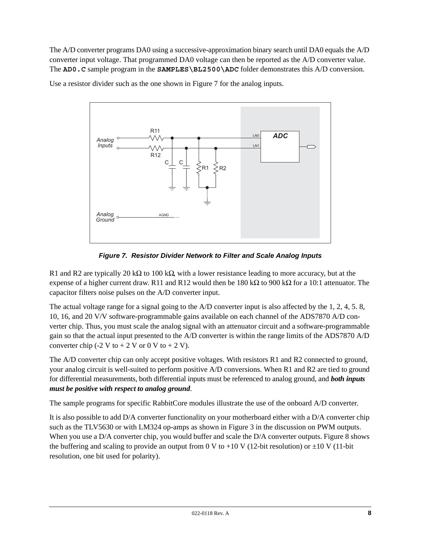The A/D converter programs DA0 using a successive-approximation binary search until DA0 equals the A/D converter input voltage. That programmed DA0 voltage can then be reported as the A/D converter value. The **AD0.C** sample program in the **SAMPLES\BL2500\ADC** folder demonstrates this A/D conversion.

Use a resistor divider such as the one shown in [Figure 7](#page-7-0) for the analog inputs.



*Figure 7. Resistor Divider Network to Filter and Scale Analog Inputs*

<span id="page-7-0"></span>R1 and R2 are typically 20 kΩ to 100 kΩ, with a lower resistance leading to more accuracy, but at the expense of a higher current draw. R11 and R12 would then be  $180 \text{ k}\Omega$  to 900 k $\Omega$  for a 10:1 attenuator. The capacitor filters noise pulses on the A/D converter input.

The actual voltage range for a signal going to the A/D converter input is also affected by the 1, 2, 4, 5. 8, 10, 16, and 20 V/V software-programmable gains available on each channel of the ADS7870 A/D converter chip. Thus, you must scale the analog signal with an attenuator circuit and a software-programmable gain so that the actual input presented to the A/D converter is within the range limits of the ADS7870 A/D converter chip (-2 V to  $+ 2$  V or 0 V to  $+ 2$  V).

The A/D converter chip can only accept positive voltages. With resistors R1 and R2 connected to ground, your analog circuit is well-suited to perform positive A/D conversions. When R1 and R2 are tied to ground for differential measurements, both differential inputs must be referenced to analog ground, and *both inputs must be positive with respect to analog ground*.

The sample programs for specific RabbitCore modules illustrate the use of the onboard A/D converter.

It is also possible to add D/A converter functionality on your motherboard either with a D/A converter chip such as the TLV5630 or with LM324 op-amps as shown in [Figure 3](#page-3-0) in the discussion on PWM outputs. When you use a D/A converter chip, you would buffer and scale the D/A converter outputs. [Figure 8](#page-8-1) shows the buffering and scaling to provide an output from 0 V to +10 V (12-bit resolution) or  $\pm 10$  V (11-bit resolution, one bit used for polarity).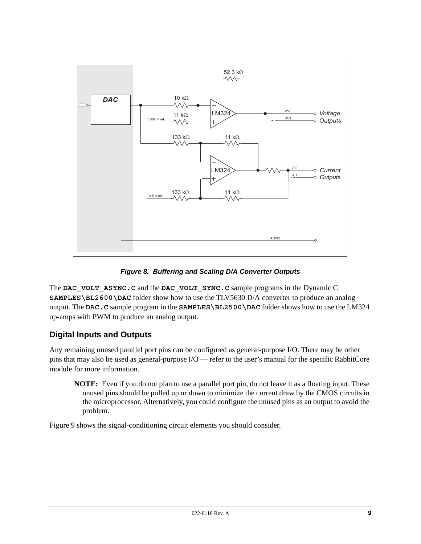

*Figure 8. Buffering and Scaling D/A Converter Outputs*

<span id="page-8-1"></span>The **DAC** VOLT ASYNC.C and the **DAC** VOLT SYNC.C sample programs in the Dynamic C **SAMPLES\BL2600\DAC** folder show how to use the TLV5630 D/A converter to produce an analog output. The **DAC.C** sample program in the **SAMPLES\BL2500\DAC** folder shows how to use the LM324 op-amps with PWM to produce an analog output.

# <span id="page-8-0"></span>**Digital Inputs and Outputs**

Any remaining unused parallel port pins can be configured as general-purpose I/O. There may be other pins that may also be used as general-purpose I/O — refer to the user's manual for the specific RabbitCore module for more information.

**NOTE:** Even if you do not plan to use a parallel port pin, do not leave it as a floating input. These unused pins should be pulled up or down to minimize the current draw by the CMOS circuits in the microprocessor. Alternatively, you could configure the unused pins as an output to avoid the problem.

[Figure 9](#page-9-0) shows the signal-conditioning circuit elements you should consider.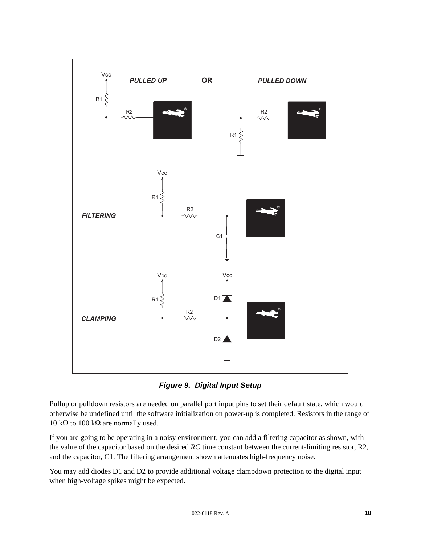

*Figure 9. Digital Input Setup*

<span id="page-9-0"></span>Pullup or pulldown resistors are needed on parallel port input pins to set their default state, which would otherwise be undefined until the software initialization on power-up is completed. Resistors in the range of 10 kΩ to 100 kΩ are normally used.

If you are going to be operating in a noisy environment, you can add a filtering capacitor as shown, with the value of the capacitor based on the desired *RC* time constant between the current-limiting resistor, R2, and the capacitor, C1. The filtering arrangement shown attenuates high-frequency noise.

You may add diodes D1 and D2 to provide additional voltage clampdown protection to the digital input when high-voltage spikes might be expected.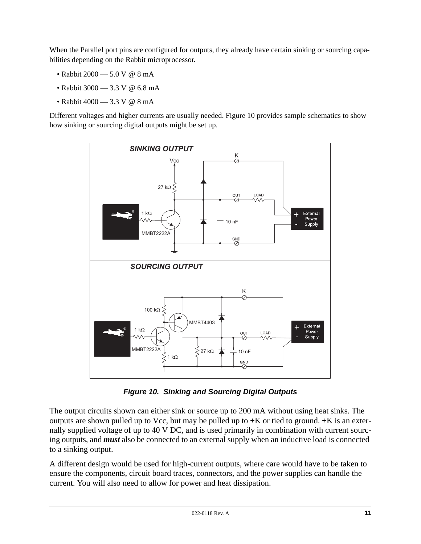When the Parallel port pins are configured for outputs, they already have certain sinking or sourcing capabilities depending on the Rabbit microprocessor.

- Rabbit 2000 5.0 V @ 8 mA
- Rabbit 3000 3.3 V @ 6.8 mA
- Rabbit 4000 3.3 V @ 8 mA

Different voltages and higher currents are usually needed. [Figure 10](#page-10-0) provides sample schematics to show how sinking or sourcing digital outputs might be set up.

![](_page_10_Figure_5.jpeg)

*Figure 10. Sinking and Sourcing Digital Outputs*

<span id="page-10-0"></span>The output circuits shown can either sink or source up to 200 mA without using heat sinks. The outputs are shown pulled up to Vcc, but may be pulled up to  $+K$  or tied to ground.  $+K$  is an externally supplied voltage of up to 40 V DC, and is used primarily in combination with current sourcing outputs, and *must* also be connected to an external supply when an inductive load is connected to a sinking output.

A different design would be used for high-current outputs, where care would have to be taken to ensure the components, circuit board traces, connectors, and the power supplies can handle the current. You will also need to allow for power and heat dissipation.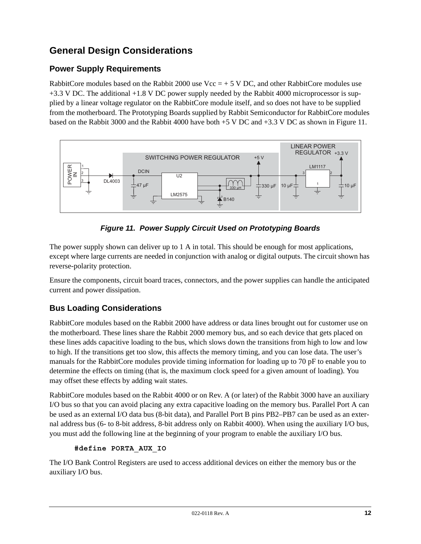# **General Design Considerations**

### **Power Supply Requirements**

RabbitCore modules based on the Rabbit 2000 use  $Vec = +5$  V DC, and other RabbitCore modules use +3.3 V DC. The additional +1.8 V DC power supply needed by the Rabbit 4000 microprocessor is supplied by a linear voltage regulator on the RabbitCore module itself, and so does not have to be supplied from the motherboard. The Prototyping Boards supplied by Rabbit Semiconductor for RabbitCore modules based on the Rabbit 3000 and the Rabbit 4000 have both +5 V DC and +3.3 V DC as shown in [Figure 11](#page-11-0).

![](_page_11_Figure_3.jpeg)

*Figure 11. Power Supply Circuit Used on Prototyping Boards*

<span id="page-11-0"></span>The power supply shown can deliver up to 1 A in total. This should be enough for most applications, except where large currents are needed in conjunction with analog or digital outputs. The circuit shown has reverse-polarity protection.

Ensure the components, circuit board traces, connectors, and the power supplies can handle the anticipated current and power dissipation.

# **Bus Loading Considerations**

RabbitCore modules based on the Rabbit 2000 have address or data lines brought out for customer use on the motherboard. These lines share the Rabbit 2000 memory bus, and so each device that gets placed on these lines adds capacitive loading to the bus, which slows down the transitions from high to low and low to high. If the transitions get too slow, this affects the memory timing, and you can lose data. The user's manuals for the RabbitCore modules provide timing information for loading up to 70 pF to enable you to determine the effects on timing (that is, the maximum clock speed for a given amount of loading). You may offset these effects by adding wait states.

RabbitCore modules based on the Rabbit 4000 or on Rev. A (or later) of the Rabbit 3000 have an auxiliary I/O bus so that you can avoid placing any extra capacitive loading on the memory bus. Parallel Port A can be used as an external I/O data bus (8-bit data), and Parallel Port B pins PB2–PB7 can be used as an external address bus (6- to 8-bit address, 8-bit address only on Rabbit 4000). When using the auxiliary I/O bus, you must add the following line at the beginning of your program to enable the auxiliary I/O bus.

#### **#define PORTA\_AUX\_IO**

The I/O Bank Control Registers are used to access additional devices on either the memory bus or the auxiliary I/O bus.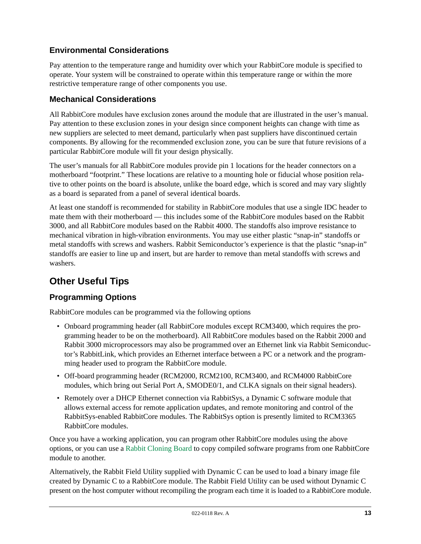# **Environmental Considerations**

Pay attention to the temperature range and humidity over which your RabbitCore module is specified to operate. Your system will be constrained to operate within this temperature range or within the more restrictive temperature range of other components you use.

### **Mechanical Considerations**

All RabbitCore modules have exclusion zones around the module that are illustrated in the user's manual. Pay attention to these exclusion zones in your design since component heights can change with time as new suppliers are selected to meet demand, particularly when past suppliers have discontinued certain components. By allowing for the recommended exclusion zone, you can be sure that future revisions of a particular RabbitCore module will fit your design physically.

The user's manuals for all RabbitCore modules provide pin 1 locations for the header connectors on a motherboard "footprint." These locations are relative to a mounting hole or fiducial whose position relative to other points on the board is absolute, unlike the board edge, which is scored and may vary slightly as a board is separated from a panel of several identical boards.

At least one standoff is recommended for stability in RabbitCore modules that use a single IDC header to mate them with their motherboard — this includes some of the RabbitCore modules based on the Rabbit 3000, and all RabbitCore modules based on the Rabbit 4000. The standoffs also improve resistance to mechanical vibration in high-vibration environments. You may use either plastic "snap-in" standoffs or metal standoffs with screws and washers. Rabbit Semiconductor's experience is that the plastic "snap-in" standoffs are easier to line up and insert, but are harder to remove than metal standoffs with screws and washers.

# **Other Useful Tips**

### **Programming Options**

RabbitCore modules can be programmed via the following options

- Onboard programming header (all RabbitCore modules except RCM3400, which requires the programming header to be on the motherboard). All RabbitCore modules based on the Rabbit 2000 and Rabbit 3000 microprocessors may also be programmed over an Ethernet link via Rabbit Semiconductor's RabbitLink, which provides an Ethernet interface between a PC or a network and the programming header used to program the RabbitCore module.
- Off-board programming header (RCM2000, RCM2100, RCM3400, and RCM4000 RabbitCore modules, which bring out Serial Port A, SMODE0/1, and CLKA signals on their signal headers).
- Remotely over a DHCP Ethernet connection via RabbitSys, a Dynamic C software module that allows external access for remote application updates, and remote monitoring and control of the RabbitSys-enabled RabbitCore modules. The RabbitSys option is presently limited to RCM3365 RabbitCore modules.

Once you have a working application, you can program other RabbitCore modules using the above options, or you can use a [Rabbit Cloning Board](http://www.rabbit.com/products/rabbit_clone/index.shtml) to copy compiled software programs from one RabbitCore module to another.

Alternatively, the Rabbit Field Utility supplied with Dynamic C can be used to load a binary image file created by Dynamic C to a RabbitCore module. The Rabbit Field Utility can be used without Dynamic C present on the host computer without recompiling the program each time it is loaded to a RabbitCore module.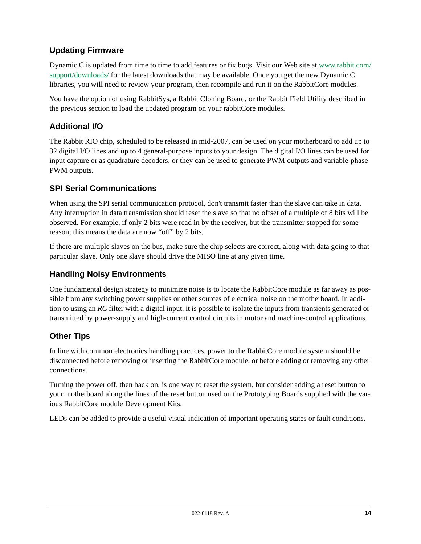# **Updating Firmware**

Dynamic C is updated from time to time to add features or fix bugs. Visit our Web site at [www.rabbit.com/](http://www.rabbit.com/support/downloads/) [support/downloads/](http://www.rabbit.com/support/downloads/) for the latest downloads that may be available. Once you get the new Dynamic C libraries, you will need to review your program, then recompile and run it on the RabbitCore modules.

You have the option of using RabbitSys, a Rabbit Cloning Board, or the Rabbit Field Utility described in the previous section to load the updated program on your rabbitCore modules.

### **Additional I/O**

The Rabbit RIO chip, scheduled to be released in mid-2007, can be used on your motherboard to add up to 32 digital I/O lines and up to 4 general-purpose inputs to your design. The digital I/O lines can be used for input capture or as quadrature decoders, or they can be used to generate PWM outputs and variable-phase PWM outputs.

### **SPI Serial Communications**

When using the SPI serial communication protocol, don't transmit faster than the slave can take in data. Any interruption in data transmission should reset the slave so that no offset of a multiple of 8 bits will be observed. For example, if only 2 bits were read in by the receiver, but the transmitter stopped for some reason; this means the data are now "off" by 2 bits,

If there are multiple slaves on the bus, make sure the chip selects are correct, along with data going to that particular slave. Only one slave should drive the MISO line at any given time.

### **Handling Noisy Environments**

One fundamental design strategy to minimize noise is to locate the RabbitCore module as far away as possible from any switching power supplies or other sources of electrical noise on the motherboard. In addition to using an *RC* filter with a digital input, it is possible to isolate the inputs from transients generated or transmitted by power-supply and high-current control circuits in motor and machine-control applications.

### **Other Tips**

In line with common electronics handling practices, power to the RabbitCore module system should be disconnected before removing or inserting the RabbitCore module, or before adding or removing any other connections.

Turning the power off, then back on, is one way to reset the system, but consider adding a reset button to your motherboard along the lines of the reset button used on the Prototyping Boards supplied with the various RabbitCore module Development Kits.

LEDs can be added to provide a useful visual indication of important operating states or fault conditions.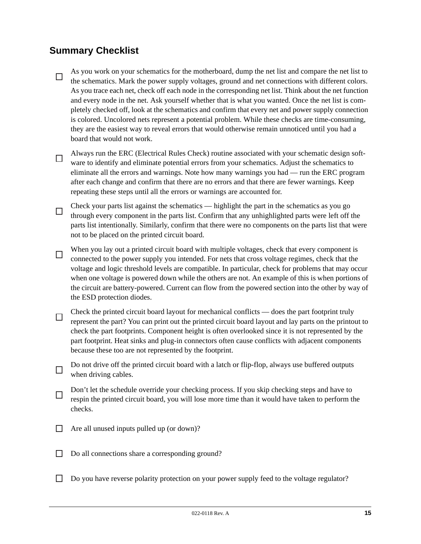# **Summary Checklist**

As you work on your schematics for the motherboard, dump the net list and compare the net list to  $\Box$ the schematics. Mark the power supply voltages, ground and net connections with different colors. As you trace each net, check off each node in the corresponding net list. Think about the net function and every node in the net. Ask yourself whether that is what you wanted. Once the net list is completely checked off, look at the schematics and confirm that every net and power supply connection is colored. Uncolored nets represent a potential problem. While these checks are time-consuming, they are the easiest way to reveal errors that would otherwise remain unnoticed until you had a board that would not work.

- Always run the ERC (Electrical Rules Check) routine associated with your schematic design soft- $\Box$ ware to identify and eliminate potential errors from your schematics. Adjust the schematics to eliminate all the errors and warnings. Note how many warnings you had — run the ERC program after each change and confirm that there are no errors and that there are fewer warnings. Keep repeating these steps until all the errors or warnings are accounted for.
- Check your parts list against the schematics highlight the part in the schematics as you go  $\Box$ through every component in the parts list. Confirm that any unhighlighted parts were left off the parts list intentionally. Similarly, confirm that there were no components on the parts list that were not to be placed on the printed circuit board.
- When you lay out a printed circuit board with multiple voltages, check that every component is  $\Box$ connected to the power supply you intended. For nets that cross voltage regimes, check that the voltage and logic threshold levels are compatible. In particular, check for problems that may occur when one voltage is powered down while the others are not. An example of this is when portions of the circuit are battery-powered. Current can flow from the powered section into the other by way of the ESD protection diodes.
- Check the printed circuit board layout for mechanical conflicts does the part footprint truly  $\Box$ represent the part? You can print out the printed circuit board layout and lay parts on the printout to check the part footprints. Component height is often overlooked since it is not represented by the part footprint. Heat sinks and plug-in connectors often cause conflicts with adjacent components because these too are not represented by the footprint.
- Do not drive off the printed circuit board with a latch or flip-flop, always use buffered outputs  $\Box$ when driving cables.
- Don't let the schedule override your checking process. If you skip checking steps and have to П respin the printed circuit board, you will lose more time than it would have taken to perform the checks.
- $\Box$  Are all unused inputs pulled up (or down)?
- □ Do all connections share a corresponding ground?
- Do you have reverse polarity protection on your power supply feed to the voltage regulator?